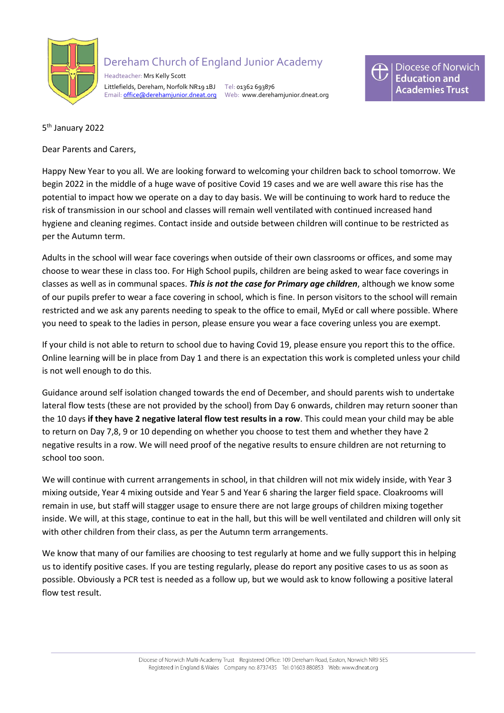

## Dereham Church of England Junior Academy

 Headteacher: Mrs Kelly Scott Littlefields, Dereham, Norfolk NR19 1BJ Tel: 01362 693876 Email: [office@derehamjunior.dneat.org](mailto:office@derehamjunior.dneat.org) Web: www.derehamjunior.dneat.org



5<sup>th</sup> January 2022

Dear Parents and Carers,

Happy New Year to you all. We are looking forward to welcoming your children back to school tomorrow. We begin 2022 in the middle of a huge wave of positive Covid 19 cases and we are well aware this rise has the potential to impact how we operate on a day to day basis. We will be continuing to work hard to reduce the risk of transmission in our school and classes will remain well ventilated with continued increased hand hygiene and cleaning regimes. Contact inside and outside between children will continue to be restricted as per the Autumn term.

Adults in the school will wear face coverings when outside of their own classrooms or offices, and some may choose to wear these in class too. For High School pupils, children are being asked to wear face coverings in classes as well as in communal spaces. *This is not the case for Primary age children*, although we know some of our pupils prefer to wear a face covering in school, which is fine. In person visitors to the school will remain restricted and we ask any parents needing to speak to the office to email, MyEd or call where possible. Where you need to speak to the ladies in person, please ensure you wear a face covering unless you are exempt.

If your child is not able to return to school due to having Covid 19, please ensure you report this to the office. Online learning will be in place from Day 1 and there is an expectation this work is completed unless your child is not well enough to do this.

Guidance around self isolation changed towards the end of December, and should parents wish to undertake lateral flow tests (these are not provided by the school) from Day 6 onwards, children may return sooner than the 10 days **if they have 2 negative lateral flow test results in a row**. This could mean your child may be able to return on Day 7,8, 9 or 10 depending on whether you choose to test them and whether they have 2 negative results in a row. We will need proof of the negative results to ensure children are not returning to school too soon.

We will continue with current arrangements in school, in that children will not mix widely inside, with Year 3 mixing outside, Year 4 mixing outside and Year 5 and Year 6 sharing the larger field space. Cloakrooms will remain in use, but staff will stagger usage to ensure there are not large groups of children mixing together inside. We will, at this stage, continue to eat in the hall, but this will be well ventilated and children will only sit with other children from their class, as per the Autumn term arrangements.

We know that many of our families are choosing to test regularly at home and we fully support this in helping us to identify positive cases. If you are testing regularly, please do report any positive cases to us as soon as possible. Obviously a PCR test is needed as a follow up, but we would ask to know following a positive lateral flow test result.